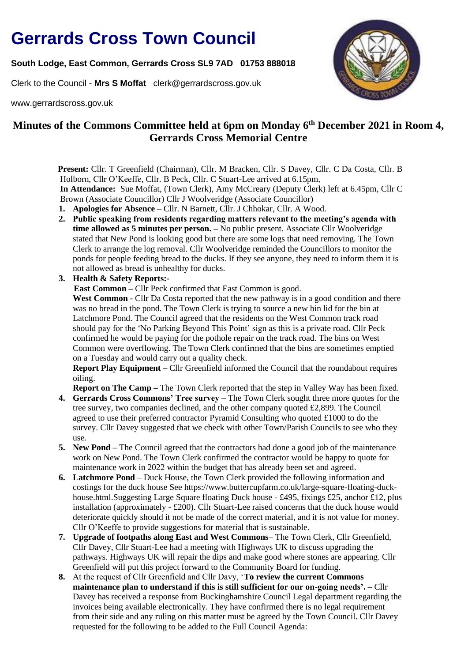## **Gerrards Cross Town Council**

**South Lodge, East Common, Gerrards Cross SL9 7AD 01753 888018** 

Clerk to the Council - **Mrs S Moffat** clerk@gerrardscross.gov.uk

www.gerrardscross.gov.uk



## **Minutes of the Commons Committee held at 6pm on Monday 6 th December 2021 in Room 4, Gerrards Cross Memorial Centre**

**Present:** Cllr. T Greenfield (Chairman), Cllr. M Bracken, Cllr. S Davey, Cllr. C Da Costa, Cllr. B Holborn, Cllr O'Keeffe, Cllr. B Peck, Cllr. C Stuart-Lee arrived at 6.15pm,  **In Attendance:** Sue Moffat, (Town Clerk), Amy McCreary (Deputy Clerk) left at 6.45pm, Cllr C Brown (Associate Councillor) Cllr J Woolveridge (Associate Councillor)

- **1. Apologies for Absence** Cllr. N Barnett, Cllr. J Chhokar, Cllr. A Wood.
- **2. Public speaking from residents regarding matters relevant to the meeting's agenda with time allowed as 5 minutes per person. –** No public present. Associate Cllr Woolveridge stated that New Pond is looking good but there are some logs that need removing. The Town Clerk to arrange the log removal. Cllr Woolveridge reminded the Councillors to monitor the ponds for people feeding bread to the ducks. If they see anyone, they need to inform them it is not allowed as bread is unhealthy for ducks.
- **3. Health & Safety Reports:-**

 **East Common –** Cllr Peck confirmed that East Common is good.

**West Common -** Cllr Da Costa reported that the new pathway is in a good condition and there was no bread in the pond. The Town Clerk is trying to source a new bin lid for the bin at Latchmore Pond. The Council agreed that the residents on the West Common track road should pay for the 'No Parking Beyond This Point' sign as this is a private road. Cllr Peck confirmed he would be paying for the pothole repair on the track road. The bins on West Common were overflowing. The Town Clerk confirmed that the bins are sometimes emptied on a Tuesday and would carry out a quality check.

**Report Play Equipment – Cllr** Greenfield informed the Council that the roundabout requires oiling.

**Report on The Camp** – The Town Clerk reported that the step in Valley Way has been fixed. **4. Gerrards Cross Commons' Tree survey –** The Town Clerk sought three more quotes for the tree survey, two companies declined, and the other company quoted £2,899. The Council agreed to use their preferred contractor Pyramid Consulting who quoted £1000 to do the survey. Cllr Davey suggested that we check with other Town/Parish Councils to see who they

- use. **5. New Pond –** The Council agreed that the contractors had done a good job of the maintenance work on New Pond. The Town Clerk confirmed the contractor would be happy to quote for maintenance work in 2022 within the budget that has already been set and agreed.
- **6. Latchmore Pond** Duck House, the Town Clerk provided the following information and costings for the duck house See https://www.buttercupfarm.co.uk/large-square-floating-duckhouse.html.Suggesting Large Square floating Duck house - £495, fixings £25, anchor £12, plus installation (approximately  $-£200$ ). Cllr Stuart-Lee raised concerns that the duck house would deteriorate quickly should it not be made of the correct material, and it is not value for money. Cllr O'Keeffe to provide suggestions for material that is sustainable.
- **7. Upgrade of footpaths along East and West Commons** The Town Clerk, Cllr Greenfield, Cllr Davey, Cllr Stuart-Lee had a meeting with Highways UK to discuss upgrading the pathways. Highways UK will repair the dips and make good where stones are appearing. Cllr Greenfield will put this project forward to the Community Board for funding.
- **8.** At the request of Cllr Greenfield and Cllr Davy, '**To review the current Commons maintenance plan to understand if this is still sufficient for our on-going needs'. –** Cllr Davey has received a response from Buckinghamshire Council Legal department regarding the invoices being available electronically. They have confirmed there is no legal requirement from their side and any ruling on this matter must be agreed by the Town Council. Cllr Davey requested for the following to be added to the Full Council Agenda: